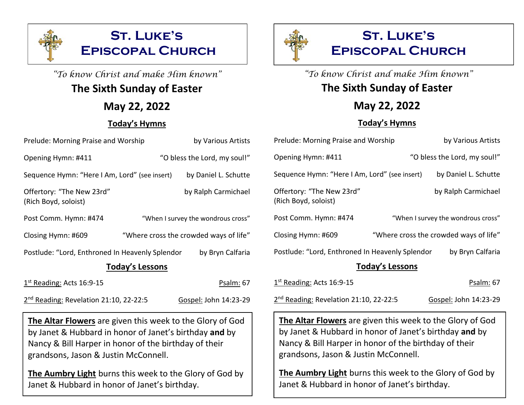

# "To know Christ and make Him known" **The Sixth Sunday of Easter**

## **May 22, 2022**

### **Today's Hymns**

| Prelude: Morning Praise and Worship               | by Various Artists                     | P <sub>I</sub> |
|---------------------------------------------------|----------------------------------------|----------------|
| Opening Hymn: #411                                | "O bless the Lord, my soul!"           | $\mathsf{O}$   |
| Sequence Hymn: "Here I Am, Lord" (see insert)     | by Daniel L. Schutte                   | S <sub>0</sub> |
| Offertory: "The New 23rd"<br>(Rich Boyd, soloist) | by Ralph Carmichael                    | O<br>(R)       |
| Post Comm. Hymn: #474                             | "When I survey the wondrous cross"     | P <sub>0</sub> |
| Closing Hymn: #609                                | "Where cross the crowded ways of life" | Cl             |
| Postlude: "Lord, Enthroned In Heavenly Splendor   | by Bryn Calfaria                       | P <sub>0</sub> |
| <b>Today's Lessons</b>                            |                                        |                |
| 1 <sup>st</sup> Reading: Acts 16:9-15             | Psalm: 67                              | $1^{\rm s}$    |

| 2 <sup>nd</sup> Reading: Revelation 21:10, 22-22:5 | Gospel: John 14:23-29 |  |
|----------------------------------------------------|-----------------------|--|

**The Altar Flowers** are given this week to the Glory of God by Janet & Hubbard in honor of Janet's birthday **and** by Nancy & Bill Harper in honor of the birthday of their grandsons, Jason & Justin McConnell.

**The Aumbry Light** burns this week to the Glory of God by Janet & Hubbard in honor of Janet's birthday.



"To know Christ and make Him known" **The Sixth Sunday of Easter**

# **May 22, 2022**

### **Today's Hymns**

| Prelude: Morning Praise and Worship               | by Various Artists                     |  |
|---------------------------------------------------|----------------------------------------|--|
| Opening Hymn: #411                                | "O bless the Lord, my soul!"           |  |
| Sequence Hymn: "Here I Am, Lord" (see insert)     | by Daniel L. Schutte                   |  |
| Offertory: "The New 23rd"<br>(Rich Boyd, soloist) | by Ralph Carmichael                    |  |
| Post Comm. Hymn: #474                             | "When I survey the wondrous cross"     |  |
| Closing Hymn: #609                                | "Where cross the crowded ways of life" |  |
| Postlude: "Lord, Enthroned In Heavenly Splendor   | by Bryn Calfaria                       |  |
| <b>Today's Lessons</b>                            |                                        |  |
| $1st$ Reading: Acts 16:9-15                       | Psalm: 67                              |  |

| 2 <sup>nd</sup> Reading: Revelation 21:10, 22-22:5 | Gospel: John 14:23-29 |
|----------------------------------------------------|-----------------------|
|                                                    |                       |

**The Altar Flowers** are given this week to the Glory of God by Janet & Hubbard in honor of Janet's birthday **and** by Nancy & Bill Harper in honor of the birthday of their grandsons, Jason & Justin McConnell.

**The Aumbry Light** burns this week to the Glory of God by Janet & Hubbard in honor of Janet's birthday.